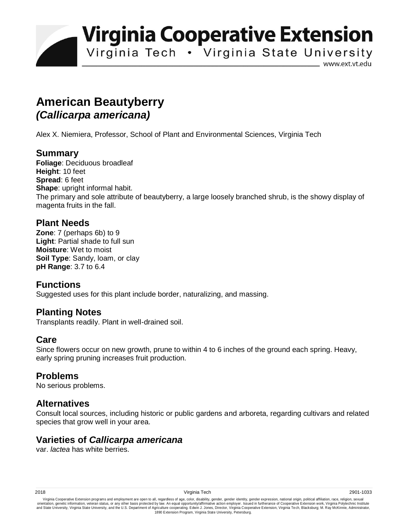**Virginia Cooperative Extension** 

Virginia Tech . Virginia State University

www.ext.vt.edu

# **American Beautyberry**  *(Callicarpa americana)*

Alex X. Niemiera, Professor, School of Plant and Environmental Sciences, Virginia Tech

## **Summary**

**Foliage**: Deciduous broadleaf **Height**: 10 feet **Spread**: 6 feet **Shape:** upright informal habit. The primary and sole attribute of beautyberry, a large loosely branched shrub, is the showy display of magenta fruits in the fall.

## **Plant Needs**

**Zone**: 7 (perhaps 6b) to 9 **Light**: Partial shade to full sun **Moisture**: Wet to moist **Soil Type**: Sandy, loam, or clay **pH Range**: 3.7 to 6.4

# **Functions**

Suggested uses for this plant include border, naturalizing, and massing.

#### **Planting Notes**

Transplants readily. Plant in well-drained soil.

#### **Care**

Since flowers occur on new growth, prune to within 4 to 6 inches of the ground each spring. Heavy, early spring pruning increases fruit production.

#### **Problems**

No serious problems.

#### **Alternatives**

Consult local sources, including historic or public gardens and arboreta, regarding cultivars and related species that grow well in your area.

#### **Varieties of** *Callicarpa americana*

var. *lactea* has white berries.